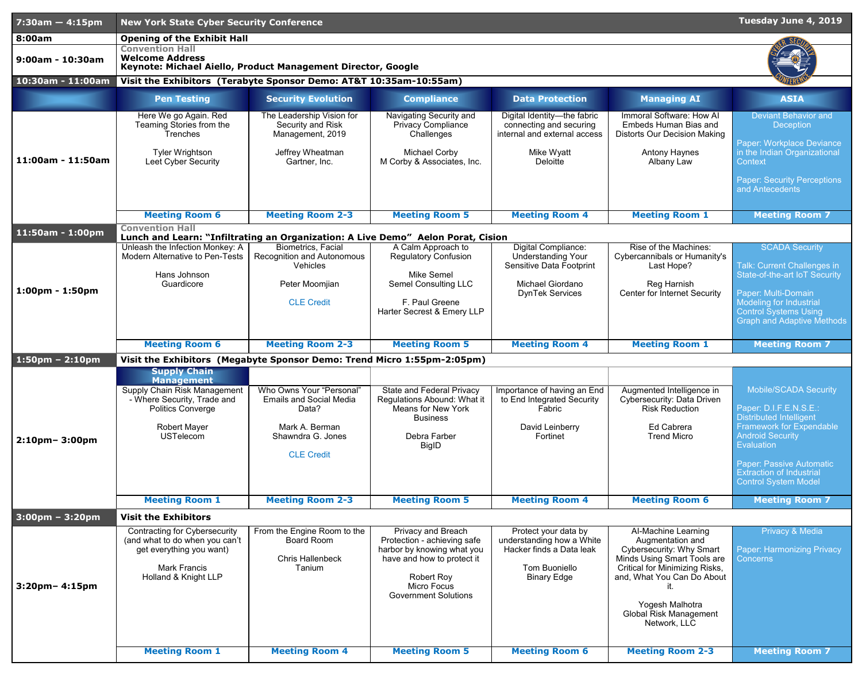| <b>Opening of the Exhibit Hall</b><br>8:00am<br><b>Convention Hall</b><br><b>Welcome Address</b><br>9:00am - 10:30am<br>Keynote: Michael Aiello, Product Management Director, Google<br>10:30am - 11:00am<br>Visit the Exhibitors (Terabyte Sponsor Demo: AT&T 10:35am-10:55am)<br><b>Security Evolution</b><br><b>Compliance</b><br><b>Managing AI</b><br><b>ASIA</b><br><b>Pen Testing</b><br><b>Data Protection</b>                                    |  |
|-----------------------------------------------------------------------------------------------------------------------------------------------------------------------------------------------------------------------------------------------------------------------------------------------------------------------------------------------------------------------------------------------------------------------------------------------------------|--|
|                                                                                                                                                                                                                                                                                                                                                                                                                                                           |  |
|                                                                                                                                                                                                                                                                                                                                                                                                                                                           |  |
|                                                                                                                                                                                                                                                                                                                                                                                                                                                           |  |
|                                                                                                                                                                                                                                                                                                                                                                                                                                                           |  |
| Immoral Software: How AI<br>Here We go Again. Red<br>The Leadership Vision for<br>Digital Identity-the fabric<br><b>Deviant Behavior and</b><br>Navigating Security and<br><b>Embeds Human Bias and</b><br>Teaming Stories from the<br>Security and Risk<br><b>Privacy Compliance</b><br>connecting and securing<br><b>Deception</b><br>internal and external access<br>Trenches<br>Management, 2019<br>Challenges<br><b>Distorts Our Decision Making</b> |  |
| Paper: Workplace Deviance<br>in the Indian Organizational<br><b>Tyler Wrightson</b><br>Jeffrey Wheatman<br><b>Michael Corby</b><br>Mike Wyatt<br><b>Antony Haynes</b><br>11:00am - 11:50am<br><b>Leet Cyber Security</b><br>Gartner, Inc.<br>M Corby & Associates, Inc.<br>Deloitte<br>Albany Law<br>Context                                                                                                                                              |  |
| <b>Paper: Security Perceptions</b><br>and Antecedents                                                                                                                                                                                                                                                                                                                                                                                                     |  |
| <b>Meeting Room 6</b><br><b>Meeting Room 2-3</b><br><b>Meeting Room 5</b><br><b>Meeting Room 4</b><br><b>Meeting Room 1</b><br><b>Meeting Room 7</b>                                                                                                                                                                                                                                                                                                      |  |
| <b>Convention Hall</b><br>11:50am - 1:00pm                                                                                                                                                                                                                                                                                                                                                                                                                |  |
| Lunch and Learn: "Infiltrating an Organization: A Live Demo" Aelon Porat, Cision<br>Rise of the Machines:<br><b>SCADA Security</b><br>Unleash the Infection Monkey: A<br><b>Biometrics, Facial</b><br>A Calm Approach to<br>Digital Compliance:                                                                                                                                                                                                           |  |
| Cybercannibals or Humanity's<br><b>Modern Alternative to Pen-Tests</b><br><b>Recognition and Autonomous</b><br><b>Regulatory Confusion</b><br><b>Understanding Your</b><br>Talk: Current Challenges in<br><b>Vehicles</b><br><b>Sensitive Data Footprint</b><br>Last Hope?                                                                                                                                                                                |  |
| Hans Johnson<br><b>Mike Semel</b><br><b>State-of-the-art IoT Security</b>                                                                                                                                                                                                                                                                                                                                                                                 |  |
| <b>Michael Giordano</b><br>Reg Harnish<br>Peter Moomjian<br><b>Semel Consulting LLC</b><br>Guardicore<br>$1:00 \text{pm} - 1:50 \text{pm}$<br><b>Center for Internet Security</b><br>Paper: Multi-Domain<br><b>DynTek Services</b>                                                                                                                                                                                                                        |  |
| <b>CLE Credit</b><br>F. Paul Greene<br><b>Modeling for Industrial</b><br>Harter Secrest & Emery LLP<br><b>Control Systems Using</b>                                                                                                                                                                                                                                                                                                                       |  |
| <b>Graph and Adaptive Methods</b>                                                                                                                                                                                                                                                                                                                                                                                                                         |  |
| <b>Meeting Room 6</b><br><b>Meeting Room 2-3</b><br><b>Meeting Room 5</b><br><b>Meeting Room 4</b><br><b>Meeting Room 1</b><br><b>Meeting Room 7</b>                                                                                                                                                                                                                                                                                                      |  |
| $1:50$ pm – 2:10pm<br>Visit the Exhibitors (Megabyte Sponsor Demo: Trend Micro 1:55pm-2:05pm)                                                                                                                                                                                                                                                                                                                                                             |  |
| <b>Supply Chain</b>                                                                                                                                                                                                                                                                                                                                                                                                                                       |  |
| <b>Management</b><br><b>Mobile/SCADA Security</b><br>Who Owns Your "Personal"<br><b>State and Federal Privacy</b><br>Importance of having an End<br>Augmented Intelligence in<br><b>Supply Chain Risk Management</b>                                                                                                                                                                                                                                      |  |
| - Where Security, Trade and<br><b>Emails and Social Media</b><br>Regulations Abound: What it<br>to End Integrated Security<br><b>Cybersecurity: Data Driven</b>                                                                                                                                                                                                                                                                                           |  |
| Paper: D.I.F.E.N.S.E.:<br><b>Means for New York</b><br><b>Risk Reduction</b><br><b>Politics Converge</b><br>Data?<br>Fabric<br><b>Distributed Intelligent</b><br><b>Business</b>                                                                                                                                                                                                                                                                          |  |
| <b>Framework for Expendable</b><br>Ed Cabrera<br><b>Robert Mayer</b><br>Mark A. Berman<br>David Leinberry<br><b>Android Security</b><br><b>USTelecom</b><br>Shawndra G. Jones<br><b>Trend Micro</b><br>Debra Farber<br>Fortinet                                                                                                                                                                                                                           |  |
| $2:10$ pm – 3:00pm<br>Evaluation<br><b>BigID</b><br><b>CLE Credit</b>                                                                                                                                                                                                                                                                                                                                                                                     |  |
| <b>Paper: Passive Automatic</b>                                                                                                                                                                                                                                                                                                                                                                                                                           |  |
| <b>Extraction of Industrial</b><br>Control System Model                                                                                                                                                                                                                                                                                                                                                                                                   |  |
| <b>Meeting Room 7</b><br><b>Meeting Room 1</b><br><b>Meeting Room 2-3</b><br><b>Meeting Room 5</b><br><b>Meeting Room 4</b><br><b>Meeting Room 6</b>                                                                                                                                                                                                                                                                                                      |  |
| $3:00 \text{pm} - 3:20 \text{pm}$<br><b>Visit the Exhibitors</b>                                                                                                                                                                                                                                                                                                                                                                                          |  |
| Privacy & Media<br>From the Engine Room to the<br><b>Privacy and Breach</b><br>Protect your data by<br><b>Al-Machine Learning</b><br><b>Contracting for Cybersecurity</b>                                                                                                                                                                                                                                                                                 |  |
| understanding how a White<br>Protection - achieving safe<br>(and what to do when you can't<br><b>Board Room</b><br>Augmentation and<br><b>Cybersecurity: Why Smart</b><br><b>Paper: Harmonizing Privacy</b><br>get everything you want)<br>harbor by knowing what you<br>Hacker finds a Data leak                                                                                                                                                         |  |
| <b>Chris Hallenbeck</b><br><b>Minds Using Smart Tools are</b><br>have and how to protect it<br><b>Concerns</b>                                                                                                                                                                                                                                                                                                                                            |  |
| <b>Tom Buoniello</b><br><b>Mark Francis</b><br><b>Critical for Minimizing Risks,</b><br>Tanium<br><b>Robert Roy</b><br>Holland & Knight LLP<br>and, What You Can Do About<br><b>Binary Edge</b><br><b>Micro Focus</b><br>$3:20$ pm- $4:15$ pm<br><b>Government Solutions</b>                                                                                                                                                                              |  |
| Yogesh Malhotra<br><b>Global Risk Management</b><br>Network, LLC                                                                                                                                                                                                                                                                                                                                                                                          |  |
|                                                                                                                                                                                                                                                                                                                                                                                                                                                           |  |
| <b>Meeting Room 5</b><br><b>Meeting Room 7</b><br><b>Meeting Room 1</b><br><b>Meeting Room 4</b><br><b>Meeting Room 6</b><br><b>Meeting Room 2-3</b>                                                                                                                                                                                                                                                                                                      |  |

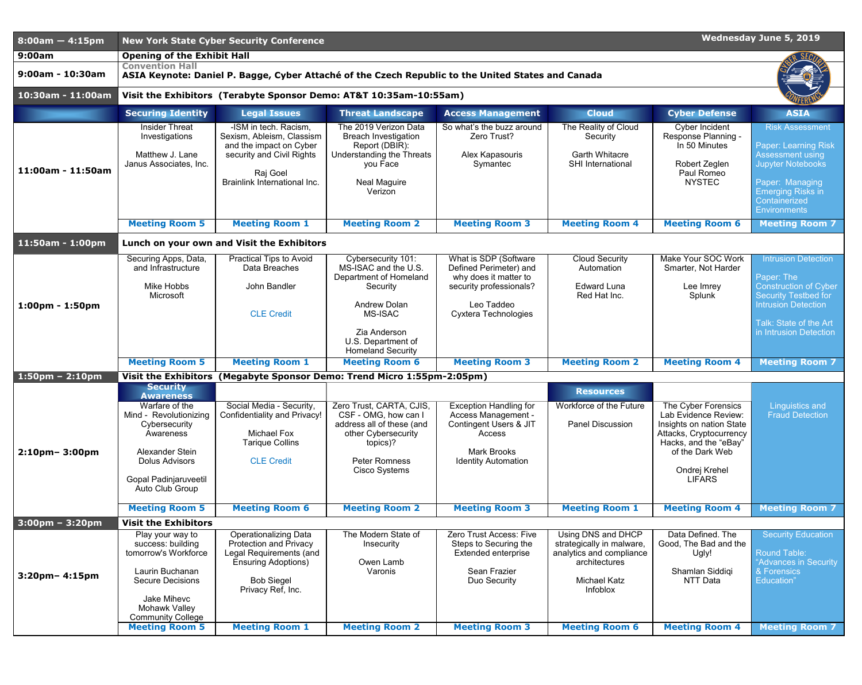| $8:00am - 4:15pm$                 | <b>Wednesday June 5, 2019</b><br><b>New York State Cyber Security Conference</b>                                             |                                                                                                                                                               |                                                                                                                                                   |                                                                                                            |                                                                                                                  |                                                                                                                             |                                                                                                                                                                                                     |
|-----------------------------------|------------------------------------------------------------------------------------------------------------------------------|---------------------------------------------------------------------------------------------------------------------------------------------------------------|---------------------------------------------------------------------------------------------------------------------------------------------------|------------------------------------------------------------------------------------------------------------|------------------------------------------------------------------------------------------------------------------|-----------------------------------------------------------------------------------------------------------------------------|-----------------------------------------------------------------------------------------------------------------------------------------------------------------------------------------------------|
| 9:00am                            | <b>Opening of the Exhibit Hall</b>                                                                                           |                                                                                                                                                               |                                                                                                                                                   |                                                                                                            |                                                                                                                  |                                                                                                                             |                                                                                                                                                                                                     |
| 9:00am - 10:30am                  | <b>Convention Hall</b><br>ASIA Keynote: Daniel P. Bagge, Cyber Attaché of the Czech Republic to the United States and Canada |                                                                                                                                                               |                                                                                                                                                   |                                                                                                            |                                                                                                                  |                                                                                                                             |                                                                                                                                                                                                     |
| 10:30am - 11:00am                 | Visit the Exhibitors (Terabyte Sponsor Demo: AT&T 10:35am-10:55am)                                                           |                                                                                                                                                               |                                                                                                                                                   |                                                                                                            |                                                                                                                  |                                                                                                                             |                                                                                                                                                                                                     |
|                                   | <b>Securing Identity</b>                                                                                                     | <b>Legal Issues</b>                                                                                                                                           | <b>Threat Landscape</b>                                                                                                                           | <b>Access Management</b>                                                                                   | <b>Cloud</b>                                                                                                     | <b>Cyber Defense</b>                                                                                                        | <b>ASIA</b>                                                                                                                                                                                         |
| 11:00am - 11:50am                 | <b>Insider Threat</b><br>Investigations<br>Matthew J. Lane<br>Janus Associates, Inc.                                         | -ISM in tech. Racism,<br>Sexism, Ableism, Classism<br>and the impact on Cyber<br>security and Civil Rights<br>Raj Goel<br><b>Brainlink International Inc.</b> | The 2019 Verizon Data<br><b>Breach Investigation</b><br>Report (DBIR):<br>Understanding the Threats<br>you Face<br><b>Neal Maguire</b><br>Verizon | So what's the buzz around<br>Zero Trust?<br>Alex Kapasouris<br>Symantec                                    | The Reality of Cloud<br>Security<br><b>Garth Whitacre</b><br><b>SHI International</b>                            | <b>Cyber Incident</b><br>Response Planning -<br>In 50 Minutes<br>Robert Zeglen<br>Paul Romeo<br><b>NYSTEC</b>               | <b>Risk Assessment</b><br><b>Paper: Learning Risk</b><br><b>Assessment using</b><br><b>Jupyter Notebooks</b><br>Paper: Managing<br><b>Emerging Risks in</b><br>Containerized<br><b>Environments</b> |
|                                   | <b>Meeting Room 5</b>                                                                                                        | <b>Meeting Room 1</b>                                                                                                                                         | <b>Meeting Room 2</b>                                                                                                                             | <b>Meeting Room 3</b>                                                                                      | <b>Meeting Room 4</b>                                                                                            | <b>Meeting Room 6</b>                                                                                                       | <b>Meeting Room 7</b>                                                                                                                                                                               |
| $11:50am - 1:00pm$                | Lunch on your own and Visit the Exhibitors                                                                                   |                                                                                                                                                               |                                                                                                                                                   |                                                                                                            |                                                                                                                  |                                                                                                                             |                                                                                                                                                                                                     |
|                                   | Securing Apps, Data,<br>and Infrastructure<br><b>Mike Hobbs</b>                                                              | <b>Practical Tips to Avoid</b><br>Data Breaches<br>John Bandler                                                                                               | Cybersecurity 101:<br>MS-ISAC and the U.S.<br>Department of Homeland<br>Security                                                                  | What is SDP (Software<br>Defined Perimeter) and<br>why does it matter to<br>security professionals?        | <b>Cloud Security</b><br>Automation<br><b>Edward Luna</b>                                                        | <b>Make Your SOC Work</b><br>Smarter, Not Harder<br>Lee Imrey                                                               | <b>Intrusion Detection</b><br>Paper: The<br><b>Construction of Cyber</b>                                                                                                                            |
| $1:00 \text{pm} - 1:50 \text{pm}$ | Microsoft                                                                                                                    | <b>CLE Credit</b>                                                                                                                                             | <b>Andrew Dolan</b><br><b>MS-ISAC</b><br>Zia Anderson<br>U.S. Department of                                                                       | Leo Taddeo<br><b>Cyxtera Technologies</b>                                                                  | Red Hat Inc.                                                                                                     | Splunk                                                                                                                      | <b>Security Testbed for</b><br><b>Intrusion Detection</b><br>Talk: State of the Art<br>in Intrusion Detection                                                                                       |
|                                   | <b>Meeting Room 5</b>                                                                                                        | <b>Meeting Room 1</b>                                                                                                                                         | <b>Homeland Security</b><br><b>Meeting Room 6</b>                                                                                                 | <b>Meeting Room 3</b>                                                                                      | <b>Meeting Room 2</b>                                                                                            | <b>Meeting Room 4</b>                                                                                                       | <b>Meeting Room 7</b>                                                                                                                                                                               |
| $1:50 \text{pm} - 2:10 \text{pm}$ | <b>Visit the Exhibitors</b>                                                                                                  |                                                                                                                                                               | (Megabyte Sponsor Demo: Trend Micro 1:55pm-2:05pm)                                                                                                |                                                                                                            |                                                                                                                  |                                                                                                                             |                                                                                                                                                                                                     |
|                                   | <b>Security</b><br><b>Awareness</b>                                                                                          |                                                                                                                                                               |                                                                                                                                                   |                                                                                                            | <b>Resources</b>                                                                                                 |                                                                                                                             |                                                                                                                                                                                                     |
|                                   | Warfare of the<br>Mind - Revolutionizing<br>Cybersecurity<br>Awareness                                                       | Social Media - Security,<br><b>Confidentiality and Privacy!</b><br><b>Michael Fox</b><br><b>Tarique Collins</b>                                               | Zero Trust, CARTA, CJIS,<br>CSF - OMG, how can I<br>address all of these (and<br>other Cybersecurity<br>topics)?                                  | <b>Exception Handling for</b><br><b>Access Management -</b><br><b>Contingent Users &amp; JIT</b><br>Access | Workforce of the Future<br><b>Panel Discussion</b>                                                               | The Cyber Forensics<br>Lab Evidence Review:<br>Insights on nation State<br>Attacks, Cryptocurrency<br>Hacks, and the "eBay" | <b>Linguistics and</b><br><b>Fraud Detection</b>                                                                                                                                                    |
| $2:10$ pm – 3:00pm                | Alexander Stein<br><b>Dolus Advisors</b><br><b>Gopal Padinjaruveetil</b>                                                     | <b>CLE Credit</b>                                                                                                                                             | <b>Peter Romness</b><br>Cisco Systems                                                                                                             | <b>Mark Brooks</b><br><b>Identity Automation</b>                                                           |                                                                                                                  | of the Dark Web<br>Ondrej Krehel<br><b>LIFARS</b>                                                                           |                                                                                                                                                                                                     |
|                                   | Auto Club Group                                                                                                              |                                                                                                                                                               |                                                                                                                                                   |                                                                                                            |                                                                                                                  |                                                                                                                             |                                                                                                                                                                                                     |
|                                   | <b>Meeting Room 5</b>                                                                                                        | <b>Meeting Room 6</b>                                                                                                                                         | <b>Meeting Room 2</b>                                                                                                                             | <b>Meeting Room 3</b>                                                                                      | <b>Meeting Room 1</b>                                                                                            | <b>Meeting Room 4</b>                                                                                                       | <b>Meeting Room 7</b>                                                                                                                                                                               |
| $3:00 \text{pm} - 3:20 \text{pm}$ | <b>Visit the Exhibitors</b><br>Play your way to                                                                              | <b>Operationalizing Data</b>                                                                                                                                  | The Modern State of                                                                                                                               | Zero Trust Access: Five                                                                                    | Using DNS and DHCP                                                                                               | Data Defined. The                                                                                                           | <b>Security Education</b>                                                                                                                                                                           |
| $3:20$ pm – 4:15pm                | success: building<br>tomorrow's Workforce<br>Laurin Buchanan<br><b>Secure Decisions</b><br>Jake Mihevc                       | <b>Protection and Privacy</b><br>Legal Requirements (and<br><b>Ensuring Adoptions)</b><br><b>Bob Siegel</b><br>Privacy Ref, Inc.                              | Insecurity<br>Owen Lamb<br>Varonis                                                                                                                | Steps to Securing the<br><b>Extended enterprise</b><br><b>Sean Frazier</b><br>Duo Security                 | strategically in malware,<br>analytics and compliance<br>architectures<br><b>Michael Katz</b><br><b>Infoblox</b> | Good, The Bad and the<br>Ugly!<br>Shamlan Siddiqi<br><b>NTT Data</b>                                                        | <b>Round Table:</b><br>"Advances in Security<br>& Forensics<br>Education"                                                                                                                           |
|                                   | <b>Mohawk Valley</b><br><b>Community College</b><br><b>Meeting Room 5</b>                                                    | <b>Meeting Room 1</b>                                                                                                                                         | <b>Meeting Room 2</b>                                                                                                                             | <b>Meeting Room 3</b>                                                                                      | <b>Meeting Room 6</b>                                                                                            | <b>Meeting Room 4</b>                                                                                                       | <b>Meeting Room 7</b>                                                                                                                                                                               |